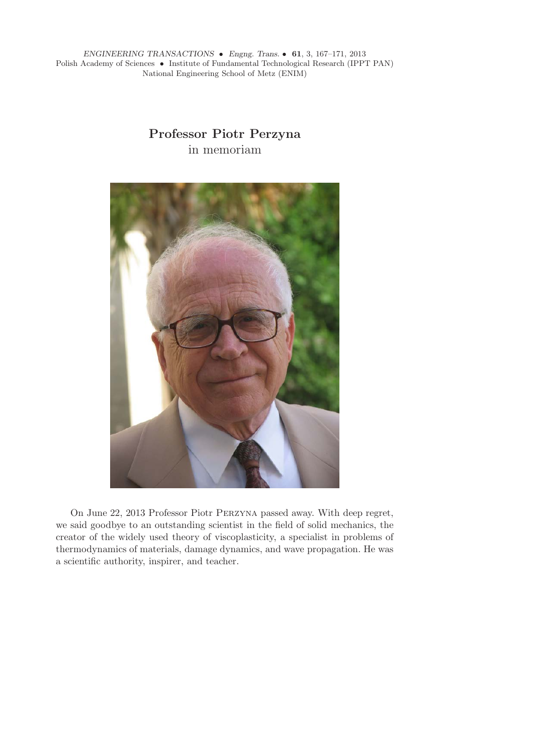*ENGINEERING TRANSACTIONS* • *Engng. Trans.* • **61**, 3, 167–171, 2013 Polish Academy of Sciences • Institute of Fundamental Technological Research (IPPT PAN) National Engineering School of Metz (ENIM)

## **Professor Piotr Perzyna** in memoriam



On June 22, 2013 Professor Piotr Perzyna passed away. With deep regret, we said goodbye to an outstanding scientist in the field of solid mechanics, the creator of the widely used theory of viscoplasticity, a specialist in problems of thermodynamics of materials, damage dynamics, and wave propagation. He was a scientific authority, inspirer, and teacher.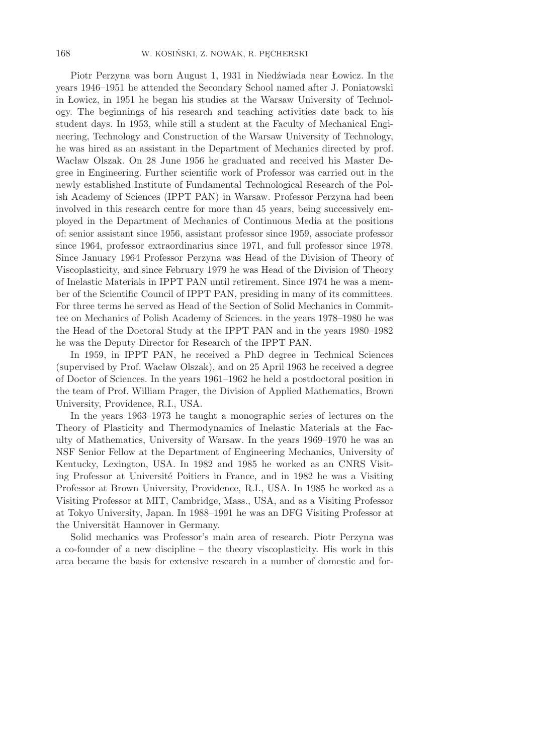Piotr Perzyna was born August 1, 1931 in Niedźwiada near Łowicz. In the years 1946–1951 he attended the Secondary School named after J. Poniatowski in Łowicz, in 1951 he began his studies at the Warsaw University of Technology. The beginnings of his research and teaching activities date back to his student days. In 1953, while still a student at the Faculty of Mechanical Engineering, Technology and Construction of the Warsaw University of Technology, he was hired as an assistant in the Department of Mechanics directed by prof. Wacław Olszak. On 28 June 1956 he graduated and received his Master Degree in Engineering. Further scientific work of Professor was carried out in the newly established Institute of Fundamental Technological Research of the Polish Academy of Sciences (IPPT PAN) in Warsaw. Professor Perzyna had been involved in this research centre for more than 45 years, being successively employed in the Department of Mechanics of Continuous Media at the positions of: senior assistant since 1956, assistant professor since 1959, associate professor since 1964, professor extraordinarius since 1971, and full professor since 1978. Since January 1964 Professor Perzyna was Head of the Division of Theory of Viscoplasticity, and since February 1979 he was Head of the Division of Theory of Inelastic Materials in IPPT PAN until retirement. Since 1974 he was a member of the Scientific Council of IPPT PAN, presiding in many of its committees. For three terms he served as Head of the Section of Solid Mechanics in Committee on Mechanics of Polish Academy of Sciences. in the years 1978–1980 he was the Head of the Doctoral Study at the IPPT PAN and in the years 1980–1982 he was the Deputy Director for Research of the IPPT PAN.

In 1959, in IPPT PAN, he received a PhD degree in Technical Sciences (supervised by Prof. Wacław Olszak), and on 25 April 1963 he received a degree of Doctor of Sciences. In the years 1961–1962 he held a postdoctoral position in the team of Prof. William Prager, the Division of Applied Mathematics, Brown University, Providence, R.I., USA.

In the years 1963–1973 he taught a monographic series of lectures on the Theory of Plasticity and Thermodynamics of Inelastic Materials at the Faculty of Mathematics, University of Warsaw. In the years 1969–1970 he was an NSF Senior Fellow at the Department of Engineering Mechanics, University of Kentucky, Lexington, USA. In 1982 and 1985 he worked as an CNRS Visiting Professor at Université Poitiers in France, and in 1982 he was a Visiting Professor at Brown University, Providence, R.I., USA. In 1985 he worked as a Visiting Professor at MIT, Cambridge, Mass., USA, and as a Visiting Professor at Tokyo University, Japan. In 1988–1991 he was an DFG Visiting Professor at the Universität Hannover in Germany.

Solid mechanics was Professor's main area of research. Piotr Perzyna was a co-founder of a new discipline – the theory viscoplasticity. His work in this area became the basis for extensive research in a number of domestic and for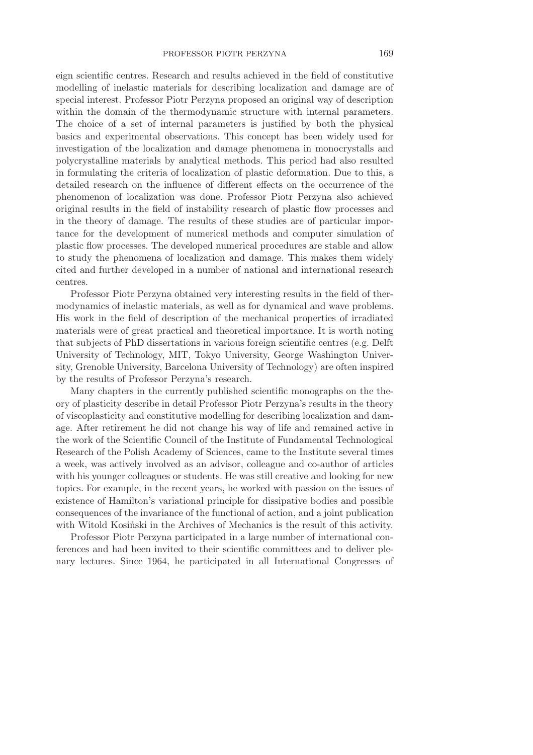eign scientific centres. Research and results achieved in the field of constitutive modelling of inelastic materials for describing localization and damage are of special interest. Professor Piotr Perzyna proposed an original way of description within the domain of the thermodynamic structure with internal parameters. The choice of a set of internal parameters is justified by both the physical basics and experimental observations. This concept has been widely used for investigation of the localization and damage phenomena in monocrystalls and polycrystalline materials by analytical methods. This period had also resulted in formulating the criteria of localization of plastic deformation. Due to this, a detailed research on the influence of different effects on the occurrence of the phenomenon of localization was done. Professor Piotr Perzyna also achieved original results in the field of instability research of plastic flow processes and in the theory of damage. The results of these studies are of particular importance for the development of numerical methods and computer simulation of plastic flow processes. The developed numerical procedures are stable and allow to study the phenomena of localization and damage. This makes them widely cited and further developed in a number of national and international research centres.

Professor Piotr Perzyna obtained very interesting results in the field of thermodynamics of inelastic materials, as well as for dynamical and wave problems. His work in the field of description of the mechanical properties of irradiated materials were of great practical and theoretical importance. It is worth noting that subjects of PhD dissertations in various foreign scientific centres (e.g. Delft University of Technology, MIT, Tokyo University, George Washington University, Grenoble University, Barcelona University of Technology) are often inspired by the results of Professor Perzyna's research.

Many chapters in the currently published scientific monographs on the theory of plasticity describe in detail Professor Piotr Perzyna's results in the theory of viscoplasticity and constitutive modelling for describing localization and damage. After retirement he did not change his way of life and remained active in the work of the Scientific Council of the Institute of Fundamental Technological Research of the Polish Academy of Sciences, came to the Institute several times a week, was actively involved as an advisor, colleague and co-author of articles with his younger colleagues or students. He was still creative and looking for new topics. For example, in the recent years, he worked with passion on the issues of existence of Hamilton's variational principle for dissipative bodies and possible consequences of the invariance of the functional of action, and a joint publication with Witold Kosiński in the Archives of Mechanics is the result of this activity.

Professor Piotr Perzyna participated in a large number of international conferences and had been invited to their scientific committees and to deliver plenary lectures. Since 1964, he participated in all International Congresses of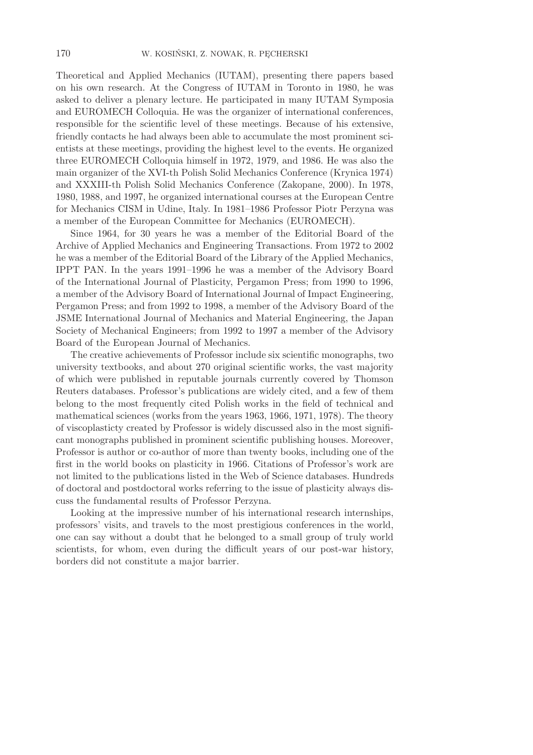Theoretical and Applied Mechanics (IUTAM), presenting there papers based on his own research. At the Congress of IUTAM in Toronto in 1980, he was asked to deliver a plenary lecture. He participated in many IUTAM Symposia and EUROMECH Colloquia. He was the organizer of international conferences, responsible for the scientific level of these meetings. Because of his extensive, friendly contacts he had always been able to accumulate the most prominent scientists at these meetings, providing the highest level to the events. He organized three EUROMECH Colloquia himself in 1972, 1979, and 1986. He was also the main organizer of the XVI-th Polish Solid Mechanics Conference (Krynica 1974) and XXXIII-th Polish Solid Mechanics Conference (Zakopane, 2000). In 1978, 1980, 1988, and 1997, he organized international courses at the European Centre for Mechanics CISM in Udine, Italy. In 1981–1986 Professor Piotr Perzyna was a member of the European Committee for Mechanics (EUROMECH).

Since 1964, for 30 years he was a member of the Editorial Board of the Archive of Applied Mechanics and Engineering Transactions. From 1972 to 2002 he was a member of the Editorial Board of the Library of the Applied Mechanics, IPPT PAN. In the years 1991–1996 he was a member of the Advisory Board of the International Journal of Plasticity, Pergamon Press; from 1990 to 1996, a member of the Advisory Board of International Journal of Impact Engineering, Pergamon Press; and from 1992 to 1998, a member of the Advisory Board of the JSME International Journal of Mechanics and Material Engineering, the Japan Society of Mechanical Engineers; from 1992 to 1997 a member of the Advisory Board of the European Journal of Mechanics.

The creative achievements of Professor include six scientific monographs, two university textbooks, and about 270 original scientific works, the vast majority of which were published in reputable journals currently covered by Thomson Reuters databases. Professor's publications are widely cited, and a few of them belong to the most frequently cited Polish works in the field of technical and mathematical sciences (works from the years 1963, 1966, 1971, 1978). The theory of viscoplasticty created by Professor is widely discussed also in the most significant monographs published in prominent scientific publishing houses. Moreover, Professor is author or co-author of more than twenty books, including one of the first in the world books on plasticity in 1966. Citations of Professor's work are not limited to the publications listed in the Web of Science databases. Hundreds of doctoral and postdoctoral works referring to the issue of plasticity always discuss the fundamental results of Professor Perzyna.

Looking at the impressive number of his international research internships, professors' visits, and travels to the most prestigious conferences in the world, one can say without a doubt that he belonged to a small group of truly world scientists, for whom, even during the difficult years of our post-war history, borders did not constitute a major barrier.